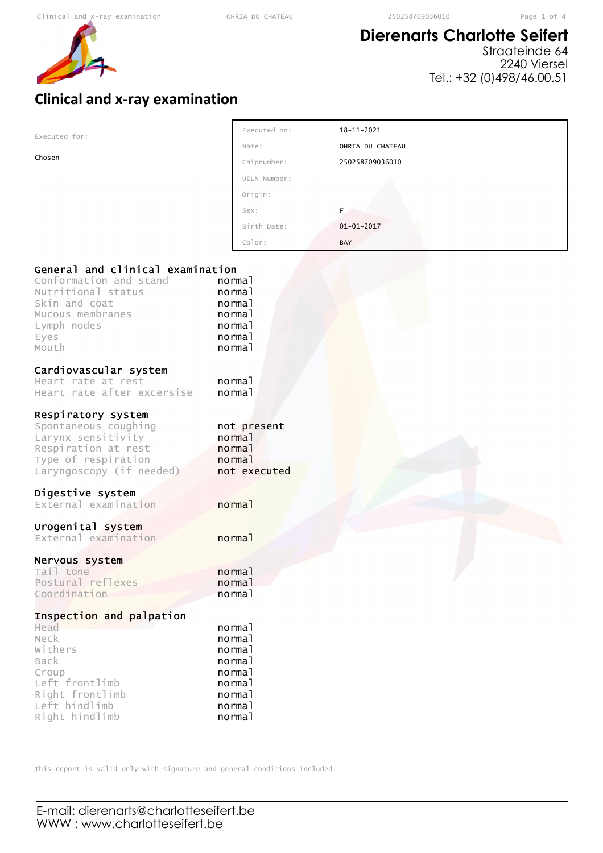r

## **Dierenarts Charlotte Seifert**

Straateinde 64 2240 Viersel Tel.: +32 (0)498/46.00.51

## **Clinical and x-ray examination**

| Executed for:                    | Executed on:     | 18-11-2021       |  |
|----------------------------------|------------------|------------------|--|
|                                  | Name:            | OHRIA DU CHATEAU |  |
| Chosen                           | Chipnumber:      | 250258709036010  |  |
|                                  | UELN Number:     |                  |  |
|                                  | Origin:          |                  |  |
|                                  | Sex:             | F.               |  |
|                                  | Birth Date:      | $01 - 01 - 2017$ |  |
|                                  | Color:           | BAY              |  |
|                                  |                  |                  |  |
| General and clinical examination |                  |                  |  |
| Conformation and stand           | normal           |                  |  |
| Nutritional status               | normal           |                  |  |
| Skin and coat                    | normal           |                  |  |
| Mucous membranes                 | normal           |                  |  |
| Lymph nodes                      | normal<br>normal |                  |  |
| Eyes<br>Mouth                    | normal           |                  |  |
|                                  |                  |                  |  |
| Cardiovascular system            |                  |                  |  |
| Heart rate at rest               | normal           |                  |  |
| Heart rate after excersise       | normal           |                  |  |
| Respiratory system               |                  |                  |  |
| Spontaneous coughing             | not present      |                  |  |
| Larynx sensitivity               | normal           |                  |  |
| Respiration at rest              | normal           |                  |  |
| Type of respiration              | normal           |                  |  |
| Laryngoscopy (if needed)         | not executed     |                  |  |
| Digestive system                 |                  |                  |  |
| External examination             | normal           |                  |  |
|                                  |                  |                  |  |
| Urogenital system                |                  |                  |  |
| External examination             | normal           |                  |  |
| Nervous system                   |                  |                  |  |
| Tail tone                        | normal           |                  |  |
| Postural reflexes                | normal           |                  |  |
| Coordination                     | normal           |                  |  |
| Inspection and palpation         |                  |                  |  |
| Head                             | normal           |                  |  |
| Neck                             | normal           |                  |  |
| Withers                          | normal           |                  |  |
| Back                             | normal           |                  |  |
| Croup                            | normal           |                  |  |
| Left frontlimb                   | normal           |                  |  |
| Right frontlimb<br>Left hindlimb | normal<br>normal |                  |  |
| Right hindlimb                   | normal           |                  |  |
|                                  |                  |                  |  |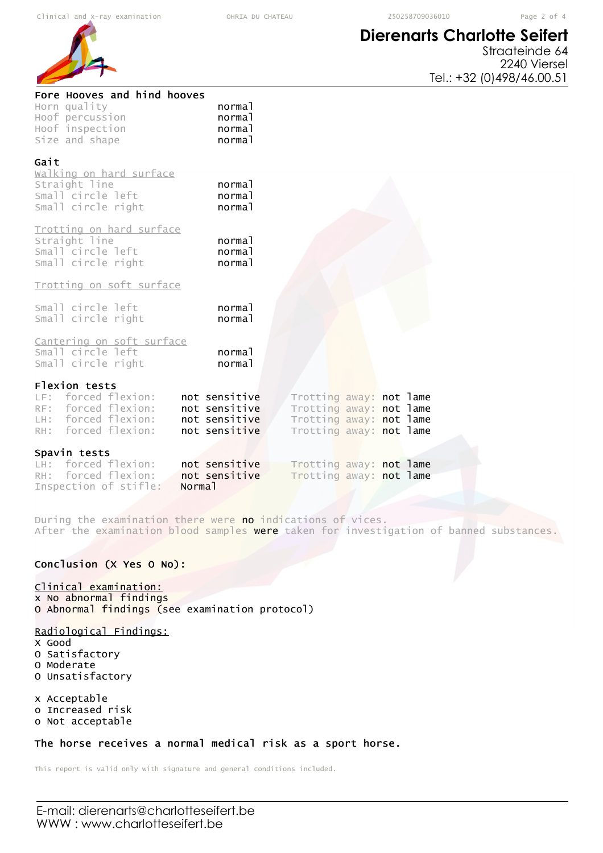# **Dierenarts Charlotte Seifert**

Straateinde 64 2240 Viersel Tel.: +32 (0)498/46.00.51

| Fore Hooves and hind hooves<br>Horn quality<br>Hoof percussion<br>Hoof inspection<br>Size and shape       | normal<br>normal<br>normal<br>normal                             |                                                                                                          |  |  |
|-----------------------------------------------------------------------------------------------------------|------------------------------------------------------------------|----------------------------------------------------------------------------------------------------------|--|--|
| Gait<br>walking on hard surface<br>Straight line<br>Small circle left<br>Small circle right               | normal<br>normal<br>normal                                       |                                                                                                          |  |  |
| Trotting on hard surface<br>Straight line<br>Small circle left<br>Small circle right                      | normal<br>normal<br>normal                                       |                                                                                                          |  |  |
| Trotting on soft surface                                                                                  |                                                                  |                                                                                                          |  |  |
| Small circle left<br>Small circle right                                                                   | normal<br>normal                                                 |                                                                                                          |  |  |
| Cantering on soft surface<br>Small circle left<br>Small circle right                                      | normal<br>normal                                                 |                                                                                                          |  |  |
| Flexion tests<br>LF: forced flexion:<br>RF: forced flexion:<br>LH: forced flexion:<br>RH: forced flexion: | not sensitive<br>not sensitive<br>not sensitive<br>not sensitive | Trotting away: not lame<br>Trotting away: not lame<br>Trotting away: not lame<br>Trotting away: not lame |  |  |
| Spavin tests                                                                                              |                                                                  |                                                                                                          |  |  |
| forced flexion:<br>LH:<br>forced flexion:<br>$RH$ :                                                       | not sensitive<br>not sensitive                                   | Trotting away: not lame<br>Trotting away: not lame                                                       |  |  |
| Inspection of stifle:<br>Norma <sub>1</sub>                                                               |                                                                  |                                                                                                          |  |  |

During the examination there were no indications of vices. After the examination blood samples were taken for investigation of banned substances.

### Conclusion (X Yes O No):

#### Clinical examination:

x No abnormal findings O Abnormal findings (see examination protocol)

### Radiological Findings:

- X Good
- O Satisfactory
- O Moderate
- O Unsatisfactory

x Acceptable o Increased risk

o Not acceptable

#### The horse receives a normal medical risk as a sport horse.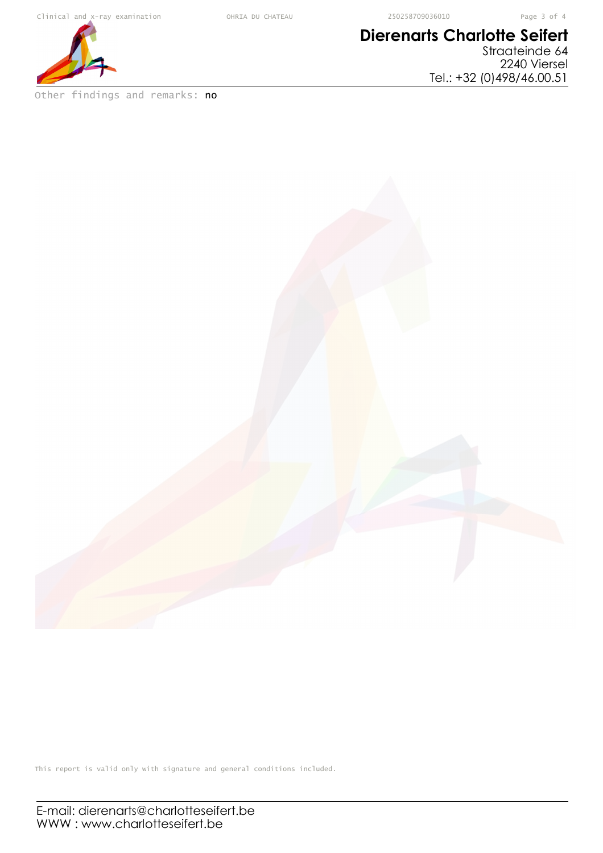# **Dierenarts Charlotte Seifert**

Straateinde 64 2240 Viersel Tel.: +32 (0)498/46.00.51



Other findings and remarks: no

E-mail: dierenarts@charlotteseifert.be WWW : www.charlotteseifert.be